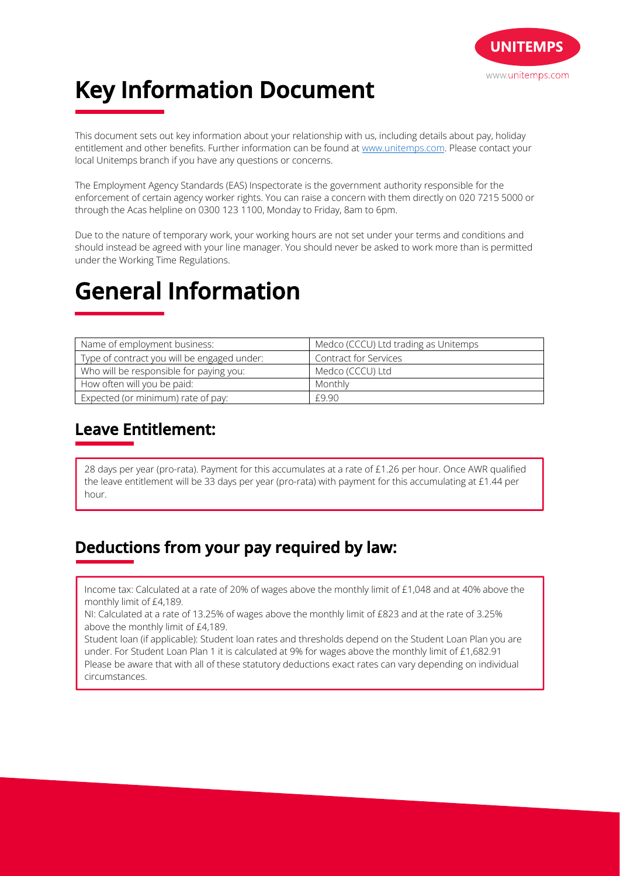

# **Key Information Document**

This document sets out key information about your relationship with us, including details about pay, holiday entitlement and other benefits. Further information can be found at www.unitemps.com. Please contact your local Unitemps branch if you have any questions or concerns.

The Employment Agency Standards (EAS) Inspectorate is the government authority responsible for the enforcement of certain agency worker rights. You can raise a concern with them directly on 020 7215 5000 or through the Acas helpline on 0300 123 1100, Monday to Friday, 8am to 6pm.

Due to the nature of temporary work, your working hours are not set under your terms and conditions and should instead be agreed with your line manager. You should never be asked to work more than is permitted under the Working Time Regulations.

## **General Information**

| Name of employment business:                | Medco (CCCU) Ltd trading as Unitemps |
|---------------------------------------------|--------------------------------------|
| Type of contract you will be engaged under: | <b>Contract for Services</b>         |
| Who will be responsible for paying you:     | Medco (CCCU) Ltd                     |
| How often will you be paid:                 | Monthly                              |
| Expected (or minimum) rate of pay:          | f990                                 |

### **Leave Entitlement:**

28 days per year (pro-rata). Payment for this accumulates at a rate of £1.26 per hour. Once AWR qualified the leave entitlement will be 33 days per year (pro-rata) with payment for this accumulating at £1.44 per hour.

### **Deductions from your pay required by law:**

Income tax: Calculated at a rate of 20% of wages above the monthly limit of £1,048 and at 40% above the monthly limit of £4,189.

NI: Calculated at a rate of 13.25% of wages above the monthly limit of £823 and at the rate of 3.25% above the monthly limit of £4,189.

Student loan (if applicable): Student loan rates and thresholds depend on the Student Loan Plan you are under. For Student Loan Plan 1 it is calculated at 9% for wages above the monthly limit of £1,682.91 Please be aware that with all of these statutory deductions exact rates can vary depending on individual circumstances.